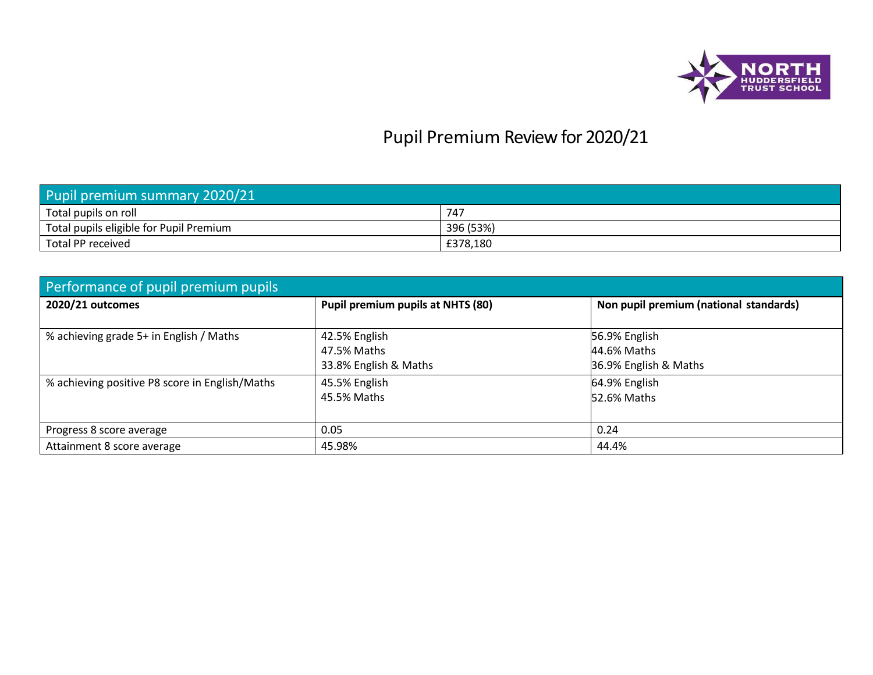

## Pupil Premium Review for 2020/21

| Pupil premium summary 2020/21           |           |  |  |  |  |
|-----------------------------------------|-----------|--|--|--|--|
| Total pupils on roll                    | 747       |  |  |  |  |
| Total pupils eligible for Pupil Premium | 396 (53%) |  |  |  |  |
| Total PP received                       | £378,180  |  |  |  |  |

| Performance of pupil premium pupils            |                                                       |                                                       |  |  |  |  |  |  |
|------------------------------------------------|-------------------------------------------------------|-------------------------------------------------------|--|--|--|--|--|--|
| 2020/21 outcomes                               | Pupil premium pupils at NHTS (80)                     | Non pupil premium (national standards)                |  |  |  |  |  |  |
| % achieving grade 5+ in English / Maths        | 42.5% English<br>47.5% Maths<br>33.8% English & Maths | 56.9% English<br>44.6% Maths<br>36.9% English & Maths |  |  |  |  |  |  |
| % achieving positive P8 score in English/Maths | 45.5% English<br>45.5% Maths                          | 64.9% English<br>52.6% Maths                          |  |  |  |  |  |  |
| Progress 8 score average                       | 0.05                                                  | 0.24                                                  |  |  |  |  |  |  |
| Attainment 8 score average                     | 45.98%                                                | 44.4%                                                 |  |  |  |  |  |  |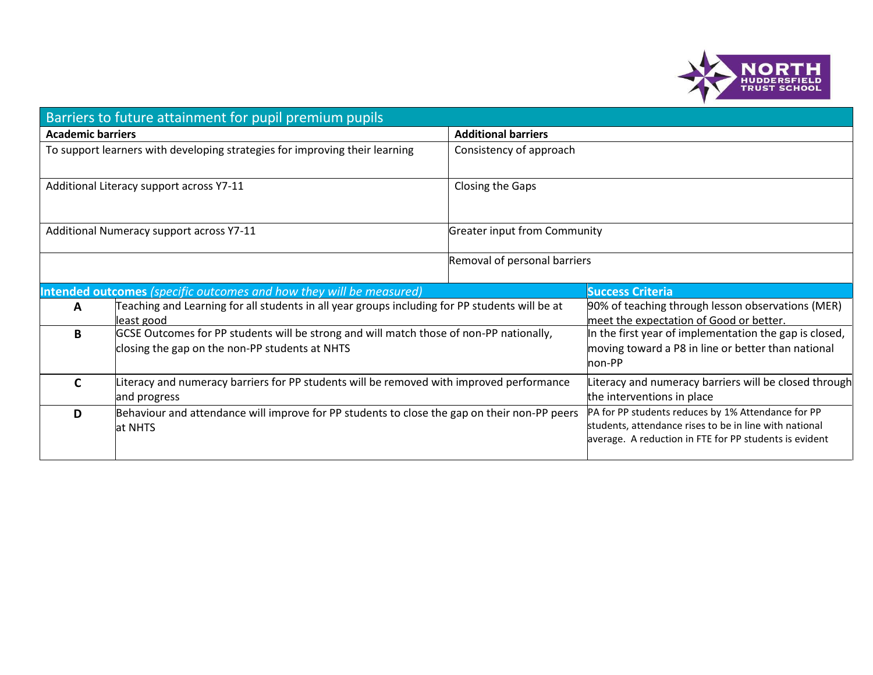

|                          | Barriers to future attainment for pupil premium pupils                                                       |                                     |                                                                                                                  |
|--------------------------|--------------------------------------------------------------------------------------------------------------|-------------------------------------|------------------------------------------------------------------------------------------------------------------|
| <b>Academic barriers</b> |                                                                                                              | <b>Additional barriers</b>          |                                                                                                                  |
|                          | To support learners with developing strategies for improving their learning                                  | Consistency of approach             |                                                                                                                  |
|                          |                                                                                                              |                                     |                                                                                                                  |
|                          | Additional Literacy support across Y7-11                                                                     | Closing the Gaps                    |                                                                                                                  |
|                          |                                                                                                              |                                     |                                                                                                                  |
|                          | Additional Numeracy support across Y7-11                                                                     | <b>Greater input from Community</b> |                                                                                                                  |
|                          |                                                                                                              | Removal of personal barriers        |                                                                                                                  |
|                          | Intended outcomes (specific outcomes and how they will be measured)                                          |                                     | <b>Success Criteria</b>                                                                                          |
|                          |                                                                                                              |                                     |                                                                                                                  |
| A                        | Teaching and Learning for all students in all year groups including for PP students will be at<br>least good |                                     | 90% of teaching through lesson observations (MER)<br>meet the expectation of Good or better.                     |
| B                        | GCSE Outcomes for PP students will be strong and will match those of non-PP nationally,                      |                                     | In the first year of implementation the gap is closed,                                                           |
|                          | closing the gap on the non-PP students at NHTS                                                               |                                     | moving toward a P8 in line or better than national<br>non-PP                                                     |
| C                        | Literacy and numeracy barriers for PP students will be removed with improved performance                     |                                     | Literacy and numeracy barriers will be closed through                                                            |
|                          | and progress                                                                                                 |                                     | the interventions in place                                                                                       |
| D                        | Behaviour and attendance will improve for PP students to close the gap on their non-PP peers                 |                                     | PA for PP students reduces by 1% Attendance for PP                                                               |
|                          | at NHTS                                                                                                      |                                     | students, attendance rises to be in line with national<br>average. A reduction in FTE for PP students is evident |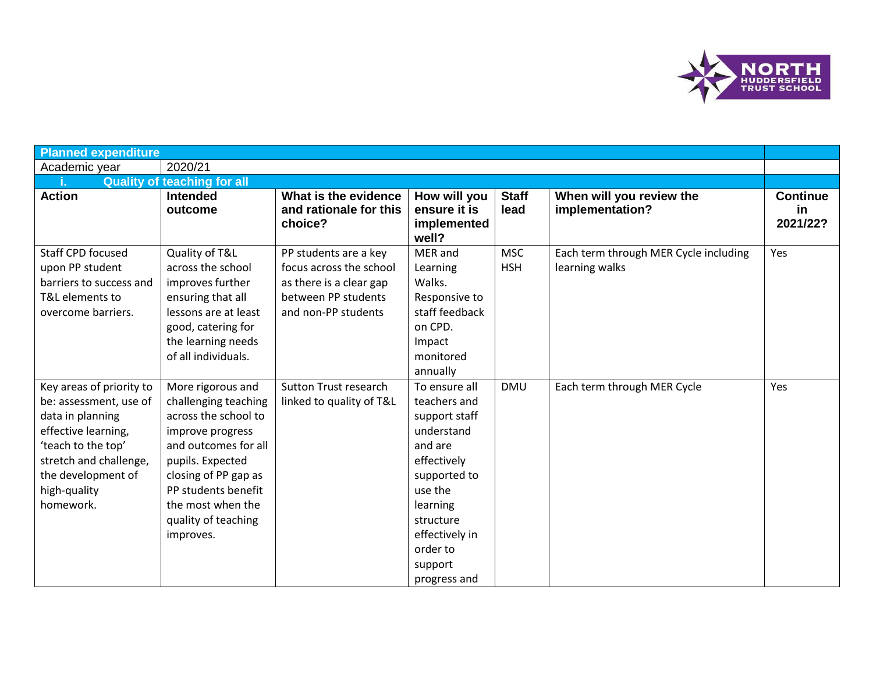

| <b>Planned expenditure</b>                                                                                                                                                                       |                                                                                                                                                                                                                                           |                                                                                                                           |                                                                                                                                                                                                     |                          |                                                         |                                    |
|--------------------------------------------------------------------------------------------------------------------------------------------------------------------------------------------------|-------------------------------------------------------------------------------------------------------------------------------------------------------------------------------------------------------------------------------------------|---------------------------------------------------------------------------------------------------------------------------|-----------------------------------------------------------------------------------------------------------------------------------------------------------------------------------------------------|--------------------------|---------------------------------------------------------|------------------------------------|
| Academic year                                                                                                                                                                                    | 2020/21                                                                                                                                                                                                                                   |                                                                                                                           |                                                                                                                                                                                                     |                          |                                                         |                                    |
|                                                                                                                                                                                                  | <b>Quality of teaching for all</b>                                                                                                                                                                                                        |                                                                                                                           |                                                                                                                                                                                                     |                          |                                                         |                                    |
| <b>Action</b>                                                                                                                                                                                    | <b>Intended</b><br>outcome                                                                                                                                                                                                                | What is the evidence<br>and rationale for this<br>choice?                                                                 | How will you<br>ensure it is<br>implemented<br>well?                                                                                                                                                | <b>Staff</b><br>lead     | When will you review the<br>implementation?             | <b>Continue</b><br>in.<br>2021/22? |
| <b>Staff CPD focused</b><br>upon PP student<br>barriers to success and<br>T&L elements to<br>overcome barriers.                                                                                  | Quality of T&L<br>across the school<br>improves further<br>ensuring that all<br>lessons are at least<br>good, catering for<br>the learning needs<br>of all individuals.                                                                   | PP students are a key<br>focus across the school<br>as there is a clear gap<br>between PP students<br>and non-PP students | MER and<br>Learning<br>Walks.<br>Responsive to<br>staff feedback<br>on CPD.<br>Impact<br>monitored<br>annually                                                                                      | <b>MSC</b><br><b>HSH</b> | Each term through MER Cycle including<br>learning walks | Yes                                |
| Key areas of priority to<br>be: assessment, use of<br>data in planning<br>effective learning,<br>'teach to the top'<br>stretch and challenge,<br>the development of<br>high-quality<br>homework. | More rigorous and<br>challenging teaching<br>across the school to<br>improve progress<br>and outcomes for all<br>pupils. Expected<br>closing of PP gap as<br>PP students benefit<br>the most when the<br>quality of teaching<br>improves. | <b>Sutton Trust research</b><br>linked to quality of T&L                                                                  | To ensure all<br>teachers and<br>support staff<br>understand<br>and are<br>effectively<br>supported to<br>use the<br>learning<br>structure<br>effectively in<br>order to<br>support<br>progress and | <b>DMU</b>               | Each term through MER Cycle                             | Yes                                |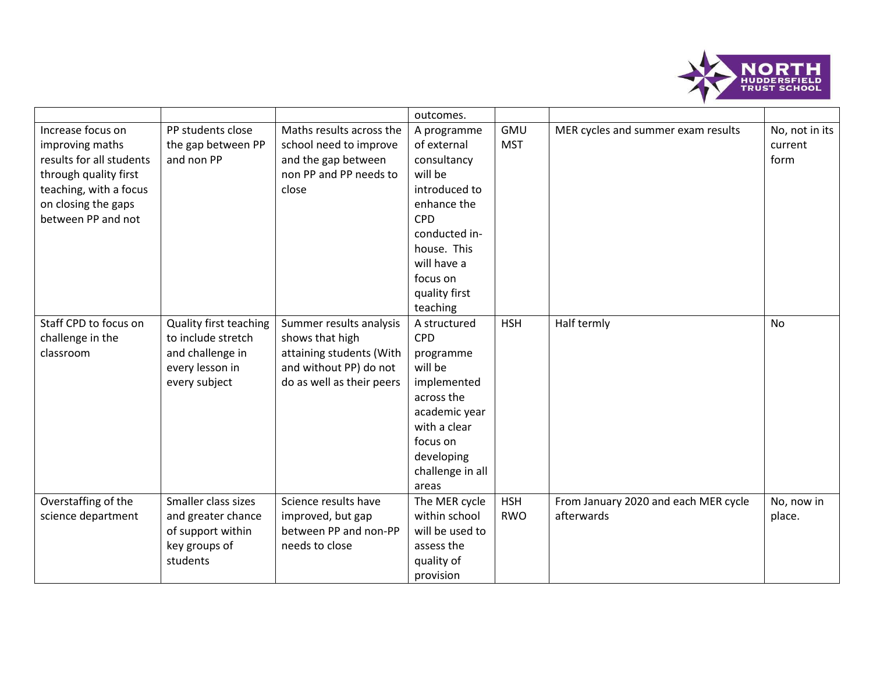

|                                                                                                                                                                  |                                                                                                             |                                                                                                                               | outcomes.                                                                                                                                                                                  |                          |                                                    |                                   |
|------------------------------------------------------------------------------------------------------------------------------------------------------------------|-------------------------------------------------------------------------------------------------------------|-------------------------------------------------------------------------------------------------------------------------------|--------------------------------------------------------------------------------------------------------------------------------------------------------------------------------------------|--------------------------|----------------------------------------------------|-----------------------------------|
| Increase focus on<br>improving maths<br>results for all students<br>through quality first<br>teaching, with a focus<br>on closing the gaps<br>between PP and not | PP students close<br>the gap between PP<br>and non PP                                                       | Maths results across the<br>school need to improve<br>and the gap between<br>non PP and PP needs to<br>close                  | A programme<br>of external<br>consultancy<br>will be<br>introduced to<br>enhance the<br><b>CPD</b><br>conducted in-<br>house. This<br>will have a<br>focus on<br>quality first<br>teaching | <b>GMU</b><br><b>MST</b> | MER cycles and summer exam results                 | No, not in its<br>current<br>form |
| Staff CPD to focus on<br>challenge in the<br>classroom                                                                                                           | <b>Quality first teaching</b><br>to include stretch<br>and challenge in<br>every lesson in<br>every subject | Summer results analysis<br>shows that high<br>attaining students (With<br>and without PP) do not<br>do as well as their peers | A structured<br><b>CPD</b><br>programme<br>will be<br>implemented<br>across the<br>academic year<br>with a clear<br>focus on<br>developing<br>challenge in all<br>areas                    | <b>HSH</b>               | Half termly                                        | <b>No</b>                         |
| Overstaffing of the<br>science department                                                                                                                        | Smaller class sizes<br>and greater chance<br>of support within<br>key groups of<br>students                 | Science results have<br>improved, but gap<br>between PP and non-PP<br>needs to close                                          | The MER cycle<br>within school<br>will be used to<br>assess the<br>quality of<br>provision                                                                                                 | <b>HSH</b><br><b>RWO</b> | From January 2020 and each MER cycle<br>afterwards | No, now in<br>place.              |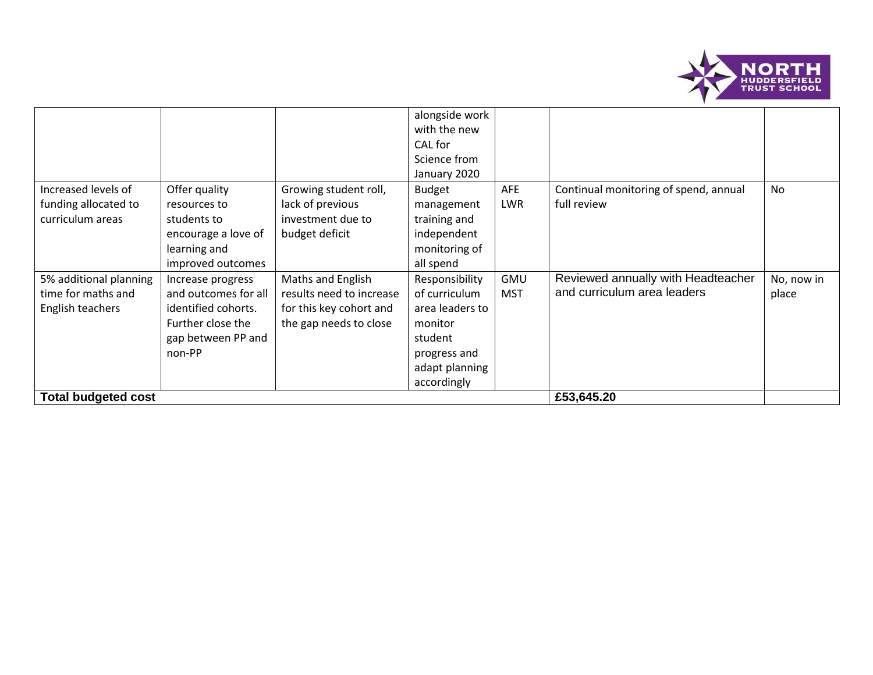

|                            |                      |                          | alongside work  |            |                                       |            |
|----------------------------|----------------------|--------------------------|-----------------|------------|---------------------------------------|------------|
|                            |                      |                          | with the new    |            |                                       |            |
|                            |                      |                          | CAL for         |            |                                       |            |
|                            |                      |                          | Science from    |            |                                       |            |
|                            |                      |                          | January 2020    |            |                                       |            |
| Increased levels of        | Offer quality        | Growing student roll,    | <b>Budget</b>   | AFE        | Continual monitoring of spend, annual | <b>No</b>  |
| funding allocated to       | resources to         | lack of previous         | management      | <b>LWR</b> | full review                           |            |
| curriculum areas           | students to          | investment due to        | training and    |            |                                       |            |
|                            | encourage a love of  | budget deficit           | independent     |            |                                       |            |
|                            | learning and         |                          | monitoring of   |            |                                       |            |
|                            | improved outcomes    |                          | all spend       |            |                                       |            |
| 5% additional planning     | Increase progress    | Maths and English        | Responsibility  | <b>GMU</b> | Reviewed annually with Headteacher    | No, now in |
| time for maths and         | and outcomes for all | results need to increase | of curriculum   | <b>MST</b> | and curriculum area leaders           | place      |
| English teachers           | identified cohorts.  | for this key cohort and  | area leaders to |            |                                       |            |
|                            | Further close the    | the gap needs to close   | monitor         |            |                                       |            |
|                            | gap between PP and   |                          | student         |            |                                       |            |
|                            | non-PP               |                          | progress and    |            |                                       |            |
|                            |                      |                          | adapt planning  |            |                                       |            |
|                            |                      |                          | accordingly     |            |                                       |            |
| <b>Total budgeted cost</b> |                      |                          |                 |            | £53,645.20                            |            |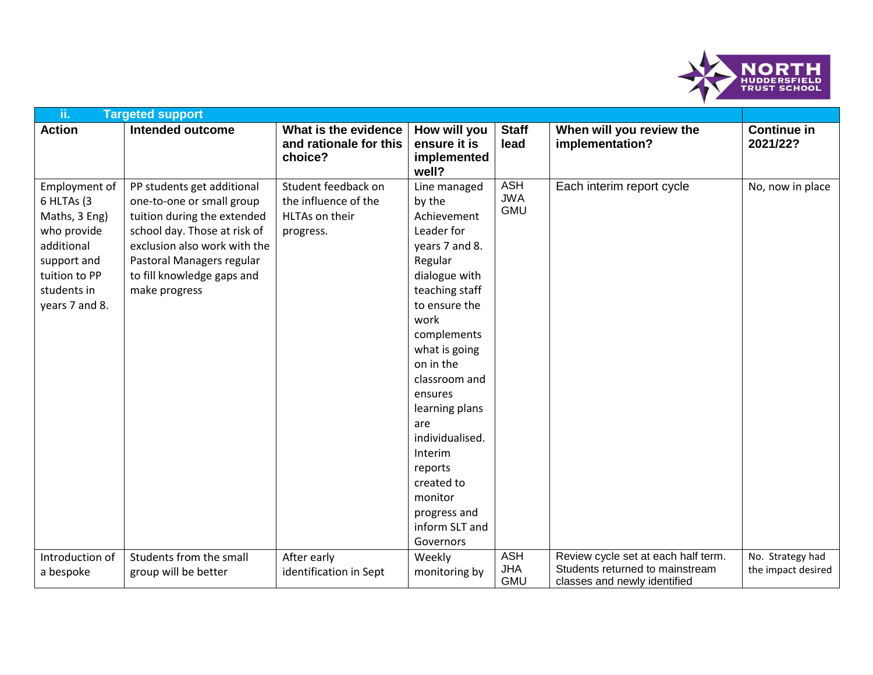

| ii.                                                                                                                                        | <b>Targeted support</b>                                                                                                                                                                                                            |                                                                            |                                                                                                                                                                                                                                                                                                                                                                 |                                        |                                                                                                        |                                        |
|--------------------------------------------------------------------------------------------------------------------------------------------|------------------------------------------------------------------------------------------------------------------------------------------------------------------------------------------------------------------------------------|----------------------------------------------------------------------------|-----------------------------------------------------------------------------------------------------------------------------------------------------------------------------------------------------------------------------------------------------------------------------------------------------------------------------------------------------------------|----------------------------------------|--------------------------------------------------------------------------------------------------------|----------------------------------------|
| <b>Action</b>                                                                                                                              | <b>Intended outcome</b>                                                                                                                                                                                                            | What is the evidence<br>and rationale for this<br>choice?                  | How will you<br>ensure it is<br>implemented<br>well?                                                                                                                                                                                                                                                                                                            | <b>Staff</b><br>lead                   | When will you review the<br>implementation?                                                            | <b>Continue in</b><br>2021/22?         |
| Employment of<br>6 HLTAs (3<br>Maths, 3 Eng)<br>who provide<br>additional<br>support and<br>tuition to PP<br>students in<br>years 7 and 8. | PP students get additional<br>one-to-one or small group<br>tuition during the extended<br>school day. Those at risk of<br>exclusion also work with the<br>Pastoral Managers regular<br>to fill knowledge gaps and<br>make progress | Student feedback on<br>the influence of the<br>HLTAs on their<br>progress. | Line managed<br>by the<br>Achievement<br>Leader for<br>years 7 and 8.<br>Regular<br>dialogue with<br>teaching staff<br>to ensure the<br>work<br>complements<br>what is going<br>on in the<br>classroom and<br>ensures<br>learning plans<br>are<br>individualised.<br>Interim<br>reports<br>created to<br>monitor<br>progress and<br>inform SLT and<br>Governors | <b>ASH</b><br><b>JWA</b><br><b>GMU</b> | Each interim report cycle                                                                              | No, now in place                       |
| Introduction of<br>a bespoke                                                                                                               | Students from the small<br>group will be better                                                                                                                                                                                    | After early<br>identification in Sept                                      | Weekly<br>monitoring by                                                                                                                                                                                                                                                                                                                                         | <b>ASH</b><br><b>JHA</b><br><b>GMU</b> | Review cycle set at each half term.<br>Students returned to mainstream<br>classes and newly identified | No. Strategy had<br>the impact desired |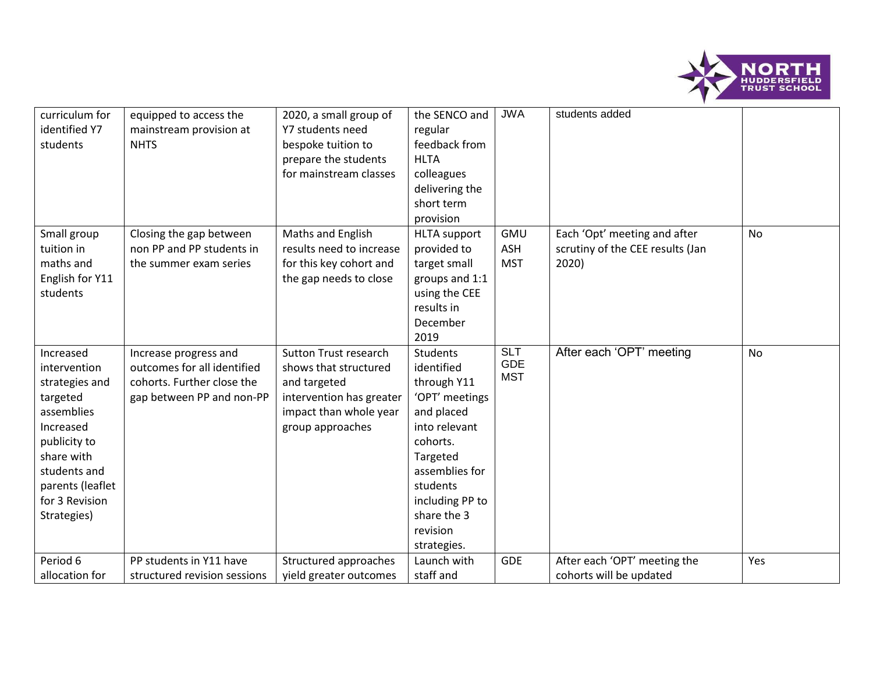

| curriculum for<br>identified Y7<br>students                                                                                                                                           | equipped to access the<br>mainstream provision at<br><b>NHTS</b>                                                | 2020, a small group of<br>Y7 students need<br>bespoke tuition to<br>prepare the students<br>for mainstream classes                              | the SENCO and<br>regular<br>feedback from<br><b>HLTA</b><br>colleagues<br>delivering the<br>short term<br>provision                                                                                       | <b>JWA</b>                             | students added                                                            |           |
|---------------------------------------------------------------------------------------------------------------------------------------------------------------------------------------|-----------------------------------------------------------------------------------------------------------------|-------------------------------------------------------------------------------------------------------------------------------------------------|-----------------------------------------------------------------------------------------------------------------------------------------------------------------------------------------------------------|----------------------------------------|---------------------------------------------------------------------------|-----------|
| Small group<br>tuition in<br>maths and<br>English for Y11<br>students                                                                                                                 | Closing the gap between<br>non PP and PP students in<br>the summer exam series                                  | Maths and English<br>results need to increase<br>for this key cohort and<br>the gap needs to close                                              | <b>HLTA</b> support<br>provided to<br>target small<br>groups and 1:1<br>using the CEE<br>results in<br>December<br>2019                                                                                   | <b>GMU</b><br><b>ASH</b><br><b>MST</b> | Each 'Opt' meeting and after<br>scrutiny of the CEE results (Jan<br>2020) | No        |
| Increased<br>intervention<br>strategies and<br>targeted<br>assemblies<br>Increased<br>publicity to<br>share with<br>students and<br>parents (leaflet<br>for 3 Revision<br>Strategies) | Increase progress and<br>outcomes for all identified<br>cohorts. Further close the<br>gap between PP and non-PP | <b>Sutton Trust research</b><br>shows that structured<br>and targeted<br>intervention has greater<br>impact than whole year<br>group approaches | Students<br>identified<br>through Y11<br>'OPT' meetings<br>and placed<br>into relevant<br>cohorts.<br>Targeted<br>assemblies for<br>students<br>including PP to<br>share the 3<br>revision<br>strategies. | <b>SLT</b><br><b>GDE</b><br><b>MST</b> | After each 'OPT' meeting                                                  | <b>No</b> |
| Period 6                                                                                                                                                                              | PP students in Y11 have                                                                                         | Structured approaches                                                                                                                           | Launch with                                                                                                                                                                                               | <b>GDE</b>                             | After each 'OPT' meeting the                                              | Yes       |
| allocation for                                                                                                                                                                        | structured revision sessions                                                                                    | yield greater outcomes                                                                                                                          | staff and                                                                                                                                                                                                 |                                        | cohorts will be updated                                                   |           |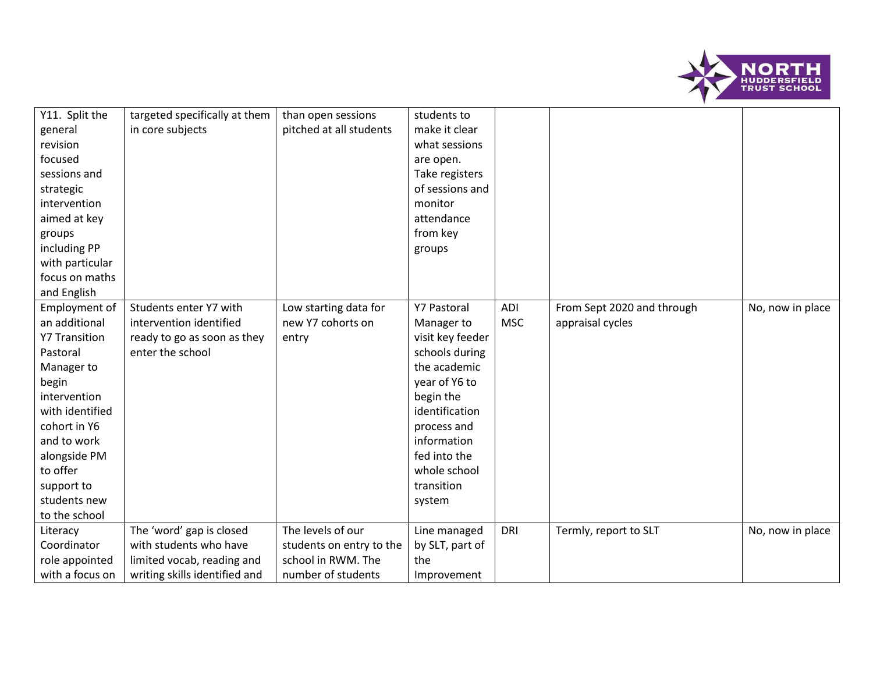

| Y11. Split the<br>general<br>revision<br>focused<br>sessions and<br>strategic<br>intervention<br>aimed at key<br>groups<br>including PP<br>with particular<br>focus on maths                                                                          | targeted specifically at them<br>in core subjects                                                                 | than open sessions<br>pitched at all students                                             | students to<br>make it clear<br>what sessions<br>are open.<br>Take registers<br>of sessions and<br>monitor<br>attendance<br>from key<br>groups                                                                               |                   |                                                |                  |
|-------------------------------------------------------------------------------------------------------------------------------------------------------------------------------------------------------------------------------------------------------|-------------------------------------------------------------------------------------------------------------------|-------------------------------------------------------------------------------------------|------------------------------------------------------------------------------------------------------------------------------------------------------------------------------------------------------------------------------|-------------------|------------------------------------------------|------------------|
| and English<br>Employment of<br>an additional<br><b>Y7 Transition</b><br>Pastoral<br>Manager to<br>begin<br>intervention<br>with identified<br>cohort in Y6<br>and to work<br>alongside PM<br>to offer<br>support to<br>students new<br>to the school | Students enter Y7 with<br>intervention identified<br>ready to go as soon as they<br>enter the school              | Low starting data for<br>new Y7 cohorts on<br>entry                                       | <b>Y7 Pastoral</b><br>Manager to<br>visit key feeder<br>schools during<br>the academic<br>year of Y6 to<br>begin the<br>identification<br>process and<br>information<br>fed into the<br>whole school<br>transition<br>system | ADI<br><b>MSC</b> | From Sept 2020 and through<br>appraisal cycles | No, now in place |
| Literacy<br>Coordinator<br>role appointed<br>with a focus on                                                                                                                                                                                          | The 'word' gap is closed<br>with students who have<br>limited vocab, reading and<br>writing skills identified and | The levels of our<br>students on entry to the<br>school in RWM. The<br>number of students | Line managed<br>by SLT, part of<br>the<br>Improvement                                                                                                                                                                        | <b>DRI</b>        | Termly, report to SLT                          | No, now in place |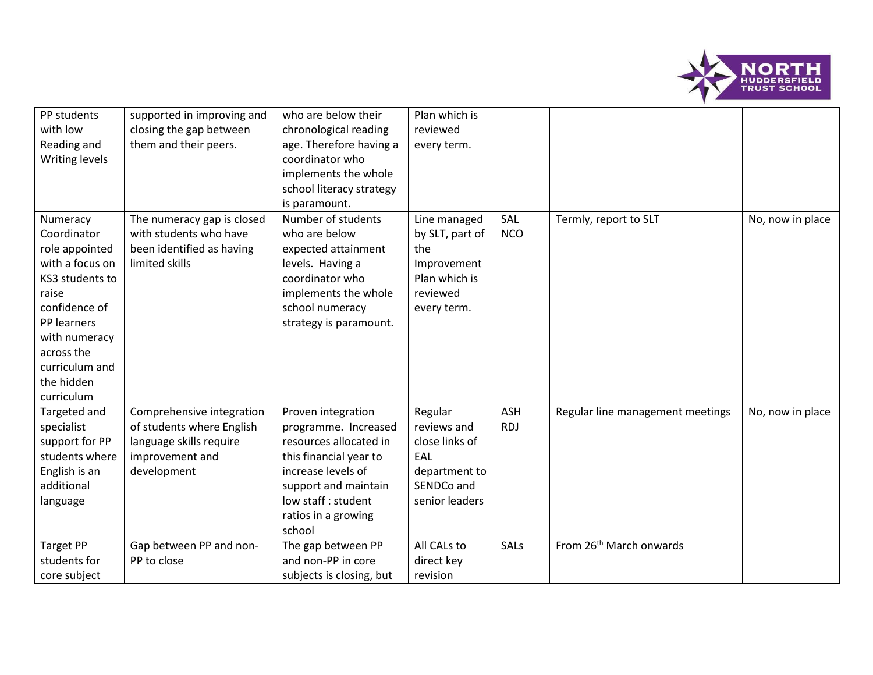

| PP students<br>with low<br>Reading and<br>Writing levels                                                                                                                                              | supported in improving and<br>closing the gap between<br>them and their peers.                                      | who are below their<br>chronological reading<br>age. Therefore having a<br>coordinator who<br>implements the whole<br>school literacy strategy                                                       | Plan which is<br>reviewed<br>every term.                                                          |                          |                                     |                  |
|-------------------------------------------------------------------------------------------------------------------------------------------------------------------------------------------------------|---------------------------------------------------------------------------------------------------------------------|------------------------------------------------------------------------------------------------------------------------------------------------------------------------------------------------------|---------------------------------------------------------------------------------------------------|--------------------------|-------------------------------------|------------------|
| Numeracy<br>Coordinator<br>role appointed<br>with a focus on<br>KS3 students to<br>raise<br>confidence of<br>PP learners<br>with numeracy<br>across the<br>curriculum and<br>the hidden<br>curriculum | The numeracy gap is closed<br>with students who have<br>been identified as having<br>limited skills                 | is paramount.<br>Number of students<br>who are below<br>expected attainment<br>levels. Having a<br>coordinator who<br>implements the whole<br>school numeracy<br>strategy is paramount.              | Line managed<br>by SLT, part of<br>the<br>Improvement<br>Plan which is<br>reviewed<br>every term. | SAL<br><b>NCO</b>        | Termly, report to SLT               | No, now in place |
| Targeted and<br>specialist<br>support for PP<br>students where<br>English is an<br>additional<br>language                                                                                             | Comprehensive integration<br>of students where English<br>language skills require<br>improvement and<br>development | Proven integration<br>programme. Increased<br>resources allocated in<br>this financial year to<br>increase levels of<br>support and maintain<br>low staff : student<br>ratios in a growing<br>school | Regular<br>reviews and<br>close links of<br>EAL<br>department to<br>SENDCo and<br>senior leaders  | <b>ASH</b><br><b>RDJ</b> | Regular line management meetings    | No, now in place |
| <b>Target PP</b><br>students for<br>core subject                                                                                                                                                      | Gap between PP and non-<br>PP to close                                                                              | The gap between PP<br>and non-PP in core<br>subjects is closing, but                                                                                                                                 | All CALs to<br>direct key<br>revision                                                             | SALs                     | From 26 <sup>th</sup> March onwards |                  |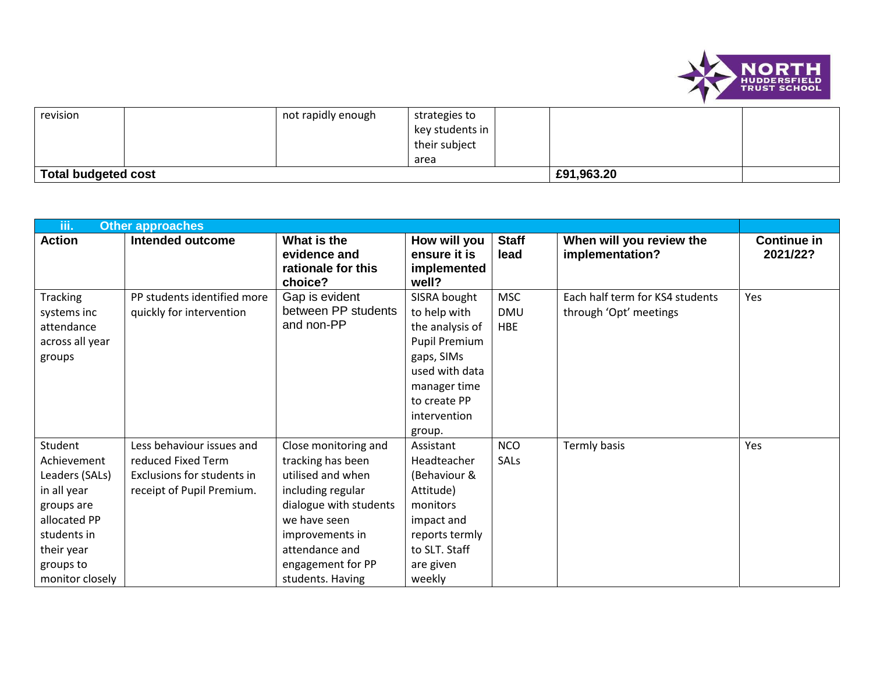

| revision                   |  | not rapidly enough | strategies to<br>key students in<br>their subject |  |            |  |
|----------------------------|--|--------------------|---------------------------------------------------|--|------------|--|
|                            |  |                    | area                                              |  |            |  |
| <b>Total budgeted cost</b> |  |                    |                                                   |  | £91,963.20 |  |

| iii.                                                                                                                                               | <b>Other approaches</b>                                                                                    |                                                                                                                                                                                                             |                                                                                                                                                            |                                        |                                                           |                                |  |  |
|----------------------------------------------------------------------------------------------------------------------------------------------------|------------------------------------------------------------------------------------------------------------|-------------------------------------------------------------------------------------------------------------------------------------------------------------------------------------------------------------|------------------------------------------------------------------------------------------------------------------------------------------------------------|----------------------------------------|-----------------------------------------------------------|--------------------------------|--|--|
| <b>Action</b>                                                                                                                                      | Intended outcome                                                                                           | What is the<br>evidence and<br>rationale for this<br>choice?                                                                                                                                                | How will you<br>ensure it is<br>implemented<br>well?                                                                                                       | <b>Staff</b><br>lead                   | When will you review the<br>implementation?               | <b>Continue in</b><br>2021/22? |  |  |
| <b>Tracking</b><br>systems inc<br>attendance<br>across all year<br>groups                                                                          | PP students identified more<br>quickly for intervention                                                    | Gap is evident<br>between PP students<br>and non-PP                                                                                                                                                         | SISRA bought<br>to help with<br>the analysis of<br>Pupil Premium<br>gaps, SIMs<br>used with data<br>manager time<br>to create PP<br>intervention<br>group. | <b>MSC</b><br><b>DMU</b><br><b>HBE</b> | Each half term for KS4 students<br>through 'Opt' meetings | Yes                            |  |  |
| Student<br>Achievement<br>Leaders (SALs)<br>in all year<br>groups are<br>allocated PP<br>students in<br>their year<br>groups to<br>monitor closely | Less behaviour issues and<br>reduced Fixed Term<br>Exclusions for students in<br>receipt of Pupil Premium. | Close monitoring and<br>tracking has been<br>utilised and when<br>including regular<br>dialogue with students<br>we have seen<br>improvements in<br>attendance and<br>engagement for PP<br>students. Having | Assistant<br>Headteacher<br>(Behaviour &<br>Attitude)<br>monitors<br>impact and<br>reports termly<br>to SLT. Staff<br>are given<br>weekly                  | <b>NCO</b><br>SALs                     | Termly basis                                              | Yes                            |  |  |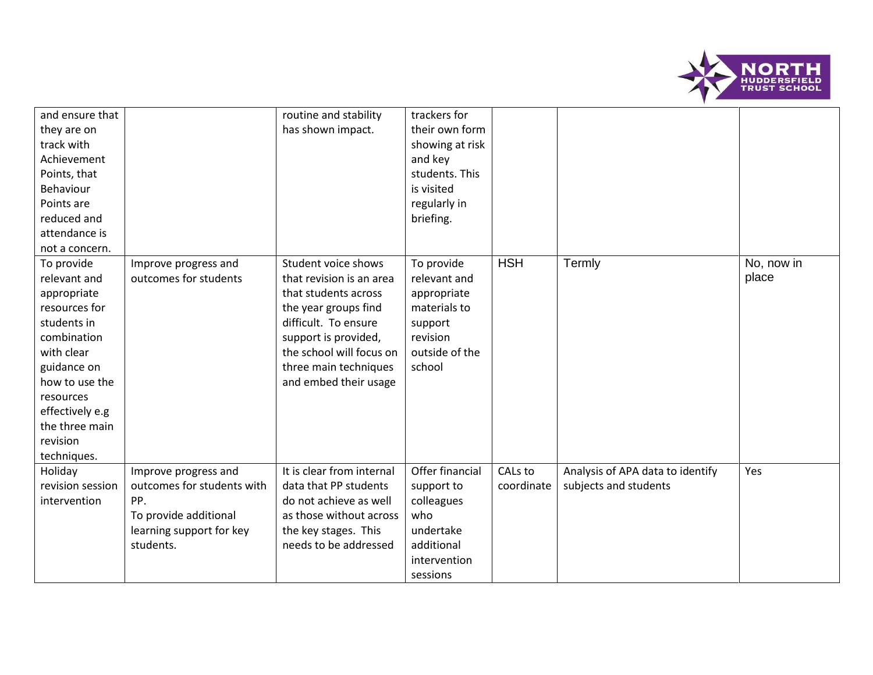

| and ensure that<br>they are on<br>track with<br>Achievement<br>Points, that<br>Behaviour<br>Points are<br>reduced and<br>attendance is<br>not a concern.                                                             |                                                                                                                             | routine and stability<br>has shown impact.                                                                                                                                                                                    | trackers for<br>their own form<br>showing at risk<br>and key<br>students. This<br>is visited<br>regularly in<br>briefing. |                       |                                                           |                     |
|----------------------------------------------------------------------------------------------------------------------------------------------------------------------------------------------------------------------|-----------------------------------------------------------------------------------------------------------------------------|-------------------------------------------------------------------------------------------------------------------------------------------------------------------------------------------------------------------------------|---------------------------------------------------------------------------------------------------------------------------|-----------------------|-----------------------------------------------------------|---------------------|
| To provide<br>relevant and<br>appropriate<br>resources for<br>students in<br>combination<br>with clear<br>guidance on<br>how to use the<br>resources<br>effectively e.g<br>the three main<br>revision<br>techniques. | Improve progress and<br>outcomes for students                                                                               | Student voice shows<br>that revision is an area<br>that students across<br>the year groups find<br>difficult. To ensure<br>support is provided,<br>the school will focus on<br>three main techniques<br>and embed their usage | To provide<br>relevant and<br>appropriate<br>materials to<br>support<br>revision<br>outside of the<br>school              | <b>HSH</b>            | Termly                                                    | No, now in<br>place |
| Holiday<br>revision session<br>intervention                                                                                                                                                                          | Improve progress and<br>outcomes for students with<br>PP.<br>To provide additional<br>learning support for key<br>students. | It is clear from internal<br>data that PP students<br>do not achieve as well<br>as those without across<br>the key stages. This<br>needs to be addressed                                                                      | Offer financial<br>support to<br>colleagues<br>who<br>undertake<br>additional<br>intervention<br>sessions                 | CALs to<br>coordinate | Analysis of APA data to identify<br>subjects and students | Yes                 |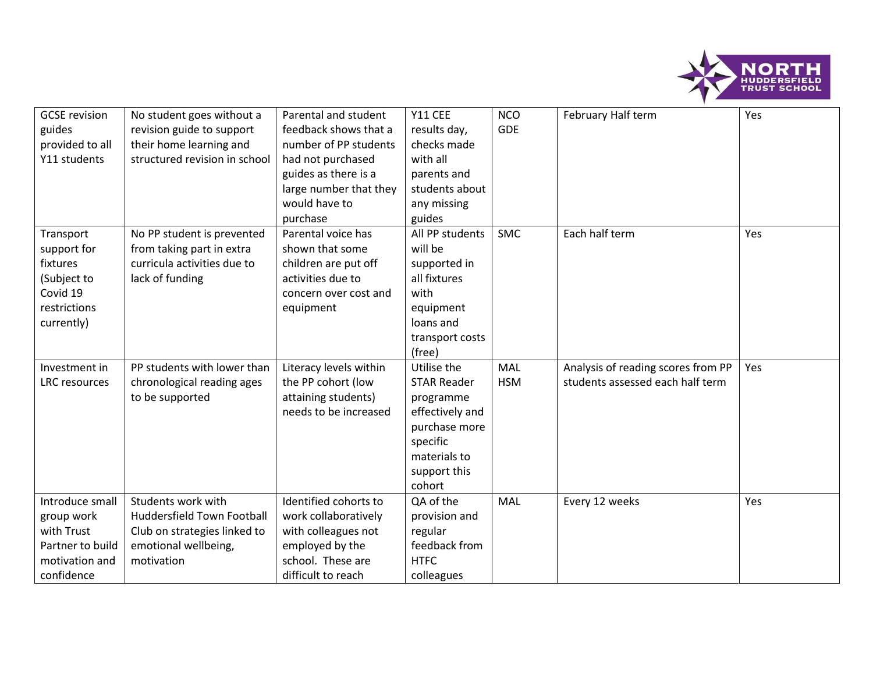

| <b>GCSE</b> revision | No student goes without a         | Parental and student   | Y11 CEE            | <b>NCO</b> | February Half term                 | Yes |
|----------------------|-----------------------------------|------------------------|--------------------|------------|------------------------------------|-----|
| guides               | revision guide to support         | feedback shows that a  | results day,       | <b>GDE</b> |                                    |     |
| provided to all      | their home learning and           | number of PP students  | checks made        |            |                                    |     |
| Y11 students         | structured revision in school     | had not purchased      | with all           |            |                                    |     |
|                      |                                   | guides as there is a   | parents and        |            |                                    |     |
|                      |                                   | large number that they | students about     |            |                                    |     |
|                      |                                   | would have to          | any missing        |            |                                    |     |
|                      |                                   | purchase               | guides             |            |                                    |     |
| Transport            | No PP student is prevented        | Parental voice has     | All PP students    | <b>SMC</b> | Each half term                     | Yes |
| support for          | from taking part in extra         | shown that some        | will be            |            |                                    |     |
| fixtures             | curricula activities due to       | children are put off   | supported in       |            |                                    |     |
| (Subject to          | lack of funding                   | activities due to      | all fixtures       |            |                                    |     |
| Covid 19             |                                   | concern over cost and  | with               |            |                                    |     |
| restrictions         |                                   | equipment              | equipment          |            |                                    |     |
| currently)           |                                   |                        | loans and          |            |                                    |     |
|                      |                                   |                        | transport costs    |            |                                    |     |
|                      |                                   |                        | (free)             |            |                                    |     |
| Investment in        | PP students with lower than       | Literacy levels within | Utilise the        | MAL        | Analysis of reading scores from PP | Yes |
| <b>LRC</b> resources | chronological reading ages        | the PP cohort (low     | <b>STAR Reader</b> | <b>HSM</b> | students assessed each half term   |     |
|                      | to be supported                   | attaining students)    | programme          |            |                                    |     |
|                      |                                   | needs to be increased  | effectively and    |            |                                    |     |
|                      |                                   |                        | purchase more      |            |                                    |     |
|                      |                                   |                        | specific           |            |                                    |     |
|                      |                                   |                        | materials to       |            |                                    |     |
|                      |                                   |                        | support this       |            |                                    |     |
|                      |                                   |                        | cohort             |            |                                    |     |
| Introduce small      | Students work with                | Identified cohorts to  | QA of the          | MAL        | Every 12 weeks                     | Yes |
| group work           | <b>Huddersfield Town Football</b> | work collaboratively   | provision and      |            |                                    |     |
| with Trust           | Club on strategies linked to      | with colleagues not    | regular            |            |                                    |     |
| Partner to build     | emotional wellbeing,              | employed by the        | feedback from      |            |                                    |     |
| motivation and       | motivation                        | school. These are      | <b>HTFC</b>        |            |                                    |     |
| confidence           |                                   | difficult to reach     | colleagues         |            |                                    |     |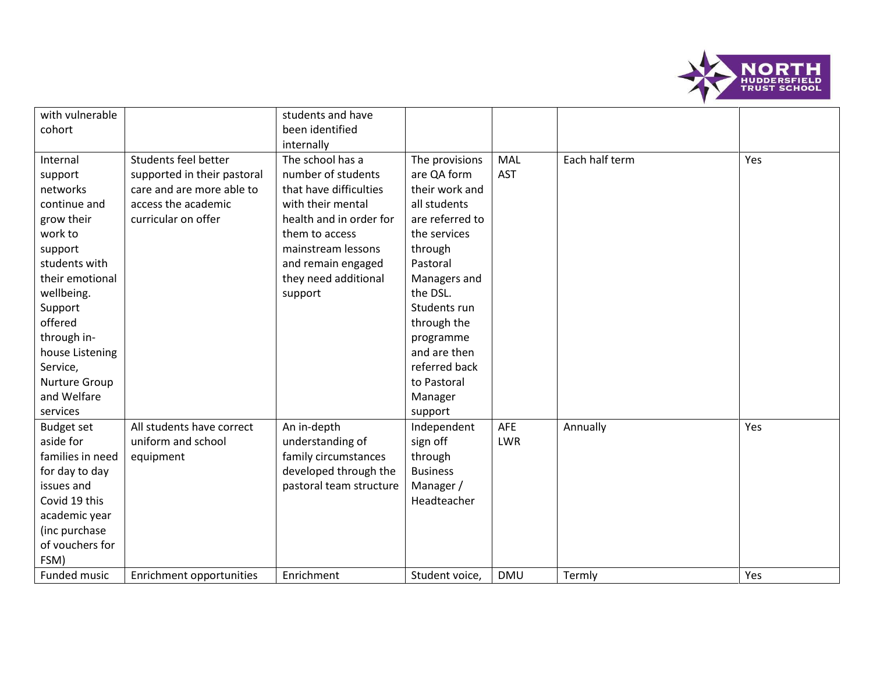

| with vulnerable   |                             | students and have       |                 |            |                |     |
|-------------------|-----------------------------|-------------------------|-----------------|------------|----------------|-----|
| cohort            |                             | been identified         |                 |            |                |     |
|                   |                             | internally              |                 |            |                |     |
| Internal          | Students feel better        | The school has a        | The provisions  | MAL        | Each half term | Yes |
| support           | supported in their pastoral | number of students      | are QA form     | <b>AST</b> |                |     |
| networks          | care and are more able to   | that have difficulties  | their work and  |            |                |     |
| continue and      | access the academic         | with their mental       | all students    |            |                |     |
| grow their        | curricular on offer         | health and in order for | are referred to |            |                |     |
| work to           |                             | them to access          | the services    |            |                |     |
| support           |                             | mainstream lessons      | through         |            |                |     |
| students with     |                             | and remain engaged      | Pastoral        |            |                |     |
| their emotional   |                             | they need additional    | Managers and    |            |                |     |
| wellbeing.        |                             | support                 | the DSL.        |            |                |     |
| Support           |                             |                         | Students run    |            |                |     |
| offered           |                             |                         | through the     |            |                |     |
| through in-       |                             |                         | programme       |            |                |     |
| house Listening   |                             |                         | and are then    |            |                |     |
| Service,          |                             |                         | referred back   |            |                |     |
| Nurture Group     |                             |                         | to Pastoral     |            |                |     |
| and Welfare       |                             |                         | Manager         |            |                |     |
| services          |                             |                         | support         |            |                |     |
| <b>Budget set</b> | All students have correct   | An in-depth             | Independent     | <b>AFE</b> | Annually       | Yes |
| aside for         | uniform and school          | understanding of        | sign off        | <b>LWR</b> |                |     |
| families in need  | equipment                   | family circumstances    | through         |            |                |     |
| for day to day    |                             | developed through the   | <b>Business</b> |            |                |     |
| issues and        |                             | pastoral team structure | Manager /       |            |                |     |
| Covid 19 this     |                             |                         | Headteacher     |            |                |     |
| academic year     |                             |                         |                 |            |                |     |
| (inc purchase     |                             |                         |                 |            |                |     |
| of vouchers for   |                             |                         |                 |            |                |     |
| FSM)              |                             |                         |                 |            |                |     |
| Funded music      | Enrichment opportunities    | Enrichment              | Student voice,  | <b>DMU</b> | Termly         | Yes |